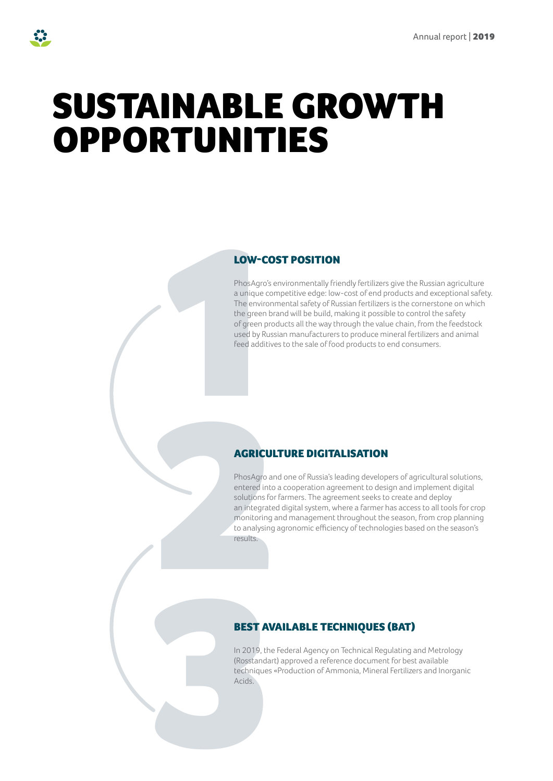# SUSTAINABLE GROWTH OPPORTUNITIES

## LOW-COST POSITION

**LOW-COS**<br>
PhosAgro's er<br>
a unique com<br>
The environm<br>
the green bra<br>
of green prod<br>
used by Russi<br>
feed additives PhosAgro's environmentally friendly fertilizers give the Russian agriculture a unique competitive edge: low-cost of end products and exceptional safety. The environmental safety of Russian fertilizers is the cornerstone on which the green brand will be build, making it possible to control the safety of green products all the way through the value chain, from the feedstock used by Russian manufacturers to produce mineral fertilizers and animal feed additives to the sale of food products to end consumers.

## AGRICULTURE DIGITALISATION

**AGRICULT**<br>PhosAgro and<br>entered into a<br>solutions for f<br>an integrated<br>monitoring at<br>to analysing a<br>results. PhosAgro and one of Russia's leading developers of agricultural solutions, entered into a cooperation agreement to design and implement digital solutions for farmers. The agreement seeks to create and deploy an integrated digital system, where a farmer has access to all tools for crop monitoring and management throughout the season, from crop planning to analysing agronomic efficiency of technologies based on the season's results.

## BEST AVAILABLE TECHNIQUES (BAT)

**BEST AVA**<br>
In 2019, the F<br>
(Rosstandart)<br>
techniques «F<br>
Acids. In 2019, the Federal Agency on Technical Regulating and Metrology (Rosstandart) approved a reference document for best available techniques «Production of Ammonia, Mineral Fertilizers and Inorganic Acids.